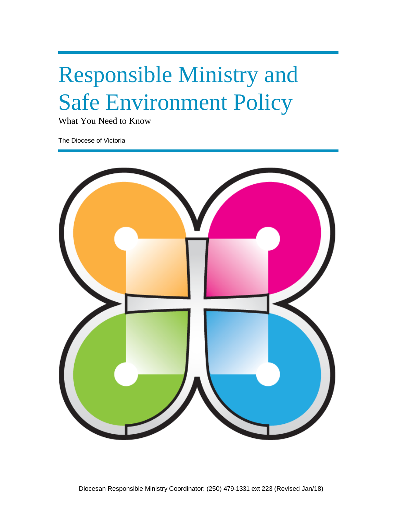## Responsible Ministry and Safe Environment Policy

What You Need to Know

The Diocese of Victoria

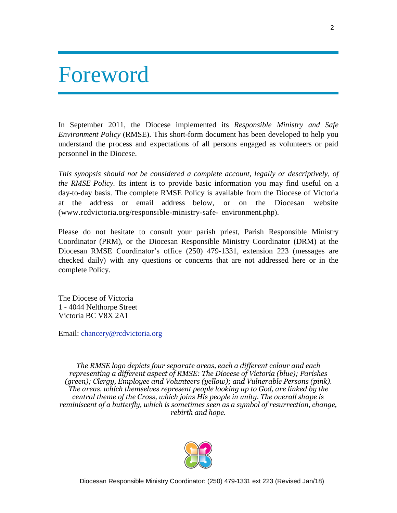### Foreword

In September 2011, the Diocese implemented its *Responsible Ministry and Safe Environment Policy* (RMSE). This short-form document has been developed to help you understand the process and expectations of all persons engaged as volunteers or paid personnel in the Diocese.

*This synopsis should not be considered a complete account, legally or descriptively, of the RMSE Policy.* Its intent is to provide basic information you may find useful on a day-to-day basis. The complete RMSE Policy is available from the Diocese of Victoria at the address or email address below, or on the Diocesan website [\(www.rcdvictoria.org/responsible-ministry-safe-](http://www.rcdvictoria.org/responsible-ministry-safe-) environment.php).

Please do not hesitate to consult your parish priest, Parish Responsible Ministry Coordinator (PRM), or the Diocesan Responsible Ministry Coordinator (DRM) at the Diocesan RMSE Coordinator's office (250) 479-1331, extension 223 (messages are checked daily) with any questions or concerns that are not addressed here or in the complete Policy.

The Diocese of Victoria 1 - 4044 Nelthorpe Street Victoria BC V8X 2A1

Email: [chancery@rcdvictoria.org](mailto:chancery@rcdvictoria.org)

*The RMSE logo depicts four separate areas, each a different colour and each representing a different aspect of RMSE: The Diocese of Victoria (blue); Parishes (green); Clergy, Employee and Volunteers (yellow); and Vulnerable Persons (pink). The areas, which themselves represent people looking up to God, are linked by the central theme of the Cross, which joins His people in unity. The overall shape is reminiscent of a butterfly, which is sometimes seen as a symbol of resurrection, change, rebirth and hope.*

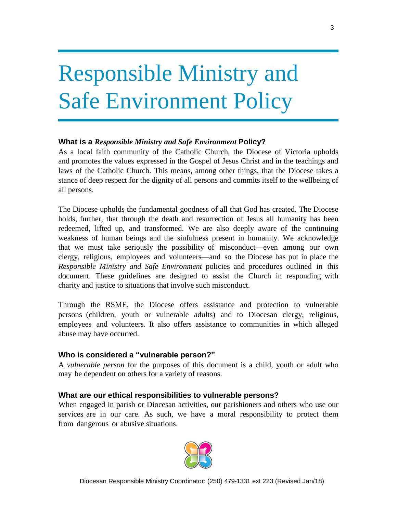# Responsible Ministry and Safe Environment Policy

#### **What is a** *Responsible Ministry and Safe Environment* **Policy?**

As a local faith community of the Catholic Church, the Diocese of Victoria upholds and promotes the values expressed in the Gospel of Jesus Christ and in the teachings and laws of the Catholic Church. This means, among other things, that the Diocese takes a stance of deep respect for the dignity of all persons and commits itself to the wellbeing of all persons.

The Diocese upholds the fundamental goodness of all that God has created. The Diocese holds, further, that through the death and resurrection of Jesus all humanity has been redeemed, lifted up, and transformed. We are also deeply aware of the continuing weakness of human beings and the sinfulness present in humanity. We acknowledge that we must take seriously the possibility of misconduct—even among our own clergy, religious, employees and volunteers—and so the Diocese has put in place the *Responsible Ministry and Safe Environment* policies and procedures outlined in this document. These guidelines are designed to assist the Church in responding with charity and justice to situations that involve such misconduct.

Through the RSME, the Diocese offers assistance and protection to vulnerable persons (children, youth or vulnerable adults) and to Diocesan clergy, religious, employees and volunteers. It also offers assistance to communities in which alleged abuse may have occurred.

#### **Who is considered a "vulnerable person?"**

A *vulnerable person* for the purposes of this document is a child, youth or adult who may be dependent on others for a variety of reasons.

#### **What are our ethical responsibilities to vulnerable persons?**

When engaged in parish or Diocesan activities, our parishioners and others who use our services are in our care. As such, we have a moral responsibility to protect them from dangerous or abusive situations.

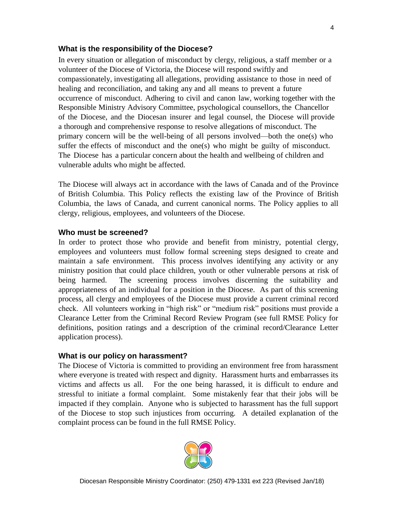#### **What is the responsibility of the Diocese?**

In every situation or allegation of misconduct by clergy, religious, a staff member or a volunteer of the Diocese of Victoria, the Diocese will respond swiftly and compassionately, investigating all allegations, providing assistance to those in need of healing and reconciliation, and taking any and all means to prevent a future occurrence of misconduct. Adhering to civil and canon law, working together with the Responsible Ministry Advisory Committee, psychological counsellors, the Chancellor of the Diocese, and the Diocesan insurer and legal counsel, the Diocese will provide a thorough and comprehensive response to resolve allegations of misconduct. The primary concern will be the well-being of all persons involved—both the one(s) who suffer the effects of misconduct and the one(s) who might be guilty of misconduct. The Diocese has a particular concern about the health and wellbeing of children and vulnerable adults who might be affected.

The Diocese will always act in accordance with the laws of Canada and of the Province of British Columbia. This Policy reflects the existing law of the Province of British Columbia, the laws of Canada, and current canonical norms. The Policy applies to all clergy, religious, employees, and volunteers of the Diocese.

#### **Who must be screened?**

In order to protect those who provide and benefit from ministry, potential clergy, employees and volunteers must follow formal screening steps designed to create and maintain a safe environment. This process involves identifying any activity or any ministry position that could place children, youth or other vulnerable persons at risk of being harmed. The screening process involves discerning the suitability and appropriateness of an individual for a position in the Diocese. As part of this screening process, all clergy and employees of the Diocese must provide a current criminal record check. All volunteers working in "high risk" or "medium risk" positions must provide a Clearance Letter from the Criminal Record Review Program (see full RMSE Policy for definitions, position ratings and a description of the criminal record/Clearance Letter application process).

#### **What is our policy on harassment?**

The Diocese of Victoria is committed to providing an environment free from harassment where everyone is treated with respect and dignity. Harassment hurts and embarrasses its victims and affects us all. For the one being harassed, it is difficult to endure and stressful to initiate a formal complaint. Some mistakenly fear that their jobs will be impacted if they complain. Anyone who is subjected to harassment has the full support of the Diocese to stop such injustices from occurring. A detailed explanation of the complaint process can be found in the full RMSE Policy.

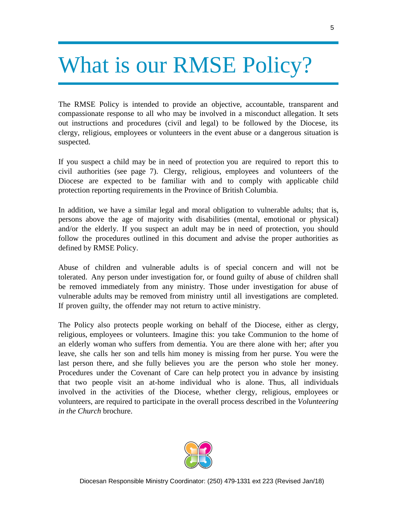## What is our RMSE Policy?

The RMSE Policy is intended to provide an objective, accountable, transparent and compassionate response to all who may be involved in a misconduct allegation. It sets out instructions and procedures (civil and legal) to be followed by the Diocese, its clergy, religious, employees or volunteers in the event abuse or a dangerous situation is suspected.

If you suspect a child may be in need of protection you are required to report this to civil authorities (see page 7). Clergy, religious, employees and volunteers of the Diocese are expected to be familiar with and to comply with applicable child protection reporting requirements in the Province of British Columbia.

In addition, we have a similar legal and moral obligation to vulnerable adults; that is, persons above the age of majority with disabilities (mental, emotional or physical) and/or the elderly. If you suspect an adult may be in need of protection, you should follow the procedures outlined in this document and advise the proper authorities as defined by RMSE Policy.

Abuse of children and vulnerable adults is of special concern and will not be tolerated. Any person under investigation for, or found guilty of abuse of children shall be removed immediately from any ministry. Those under investigation for abuse of vulnerable adults may be removed from ministry until all investigations are completed. If proven guilty, the offender may not return to active ministry.

The Policy also protects people working on behalf of the Diocese, either as clergy, religious, employees or volunteers. Imagine this: you take Communion to the home of an elderly woman who suffers from dementia. You are there alone with her; after you leave, she calls her son and tells him money is missing from her purse. You were the last person there, and she fully believes you are the person who stole her money. Procedures under the Covenant of Care can help protect you in advance by insisting that two people visit an at-home individual who is alone. Thus, all individuals involved in the activities of the Diocese, whether clergy, religious, employees or volunteers, are required to participate in the overall process described in the *Volunteering in the Church* brochure.

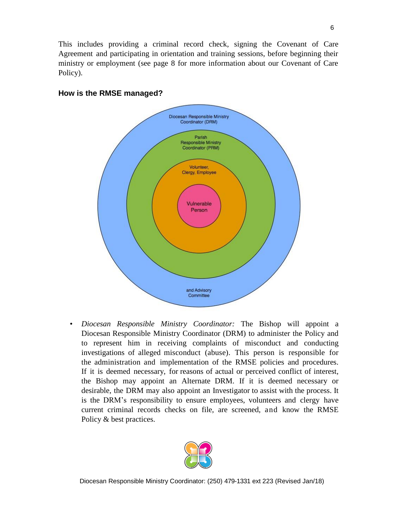This includes providing a criminal record check, signing the Covenant of Care Agreement and participating in orientation and training sessions, before beginning their ministry or employment (see page 8 for more information about our Covenant of Care Policy).



#### **How is the RMSE managed?**

• *Diocesan Responsible Ministry Coordinator:* The Bishop will appoint a Diocesan Responsible Ministry Coordinator (DRM) to administer the Policy and to represent him in receiving complaints of misconduct and conducting investigations of alleged misconduct (abuse). This person is responsible for the administration and implementation of the RMSE policies and procedures. If it is deemed necessary, for reasons of actual or perceived conflict of interest, the Bishop may appoint an Alternate DRM. If it is deemed necessary or desirable, the DRM may also appoint an Investigator to assist with the process. It is the DRM's responsibility to ensure employees, volunteers and clergy have current criminal records checks on file, are screened, and know the RMSE Policy & best practices.

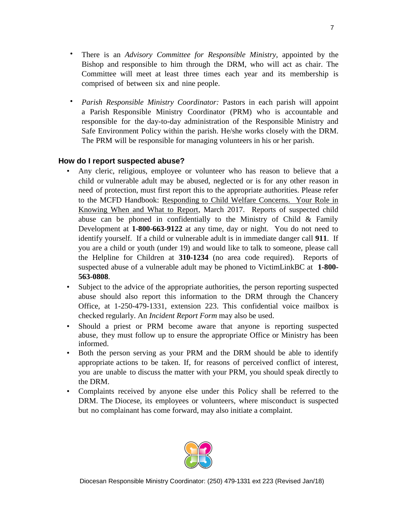- There is an *Advisory Committee for Responsible Ministry*, appointed by the Bishop and responsible to him through the DRM, who will act as chair. The Committee will meet at least three times each year and its membership is comprised of between six and nine people.
- *Parish Responsible Ministry Coordinator:* Pastors in each parish will appoint a Parish Responsible Ministry Coordinator (PRM) who is accountable and responsible for the day-to-day administration of the Responsible Ministry and Safe Environment Policy within the parish. He/she works closely with the DRM. The PRM will be responsible for managing volunteers in his or her parish.

#### **How do I report suspected abuse?**

- Any cleric, religious, employee or volunteer who has reason to believe that a child or vulnerable adult may be abused, neglected or is for any other reason in need of protection, must first report this to the appropriate authorities. Please refer to the MCFD Handbook: Responding to Child Welfare Concerns. Your Role in Knowing When and What to Report, March 2017. Reports of suspected child abuse can be phoned in confidentially to the Ministry of Child & Family Development at **1-800-663-9122** at any time, day or night. You do not need to identify yourself. If a child or vulnerable adult is in immediate danger call **911**. If you are a child or youth (under 19) and would like to talk to someone, please call the Helpline for Children at **310-1234** (no area code required). Reports of suspected abuse of a vulnerable adult may be phoned to VictimLinkBC at **1-800- 563-0808**.
- Subject to the advice of the appropriate authorities, the person reporting suspected abuse should also report this information to the DRM through the Chancery Office, at 1-250-479-1331, extension 223. This confidential voice mailbox is checked regularly. An *Incident Report Form* may also be used.
- Should a priest or PRM become aware that anyone is reporting suspected abuse, they must follow up to ensure the appropriate Office or Ministry has been informed.
- Both the person serving as your PRM and the DRM should be able to identify appropriate actions to be taken. If, for reasons of perceived conflict of interest, you are unable to discuss the matter with your PRM, you should speak directly to the DRM.
- Complaints received by anyone else under this Policy shall be referred to the DRM. The Diocese, its employees or volunteers, where misconduct is suspected but no complainant has come forward, may also initiate a complaint.

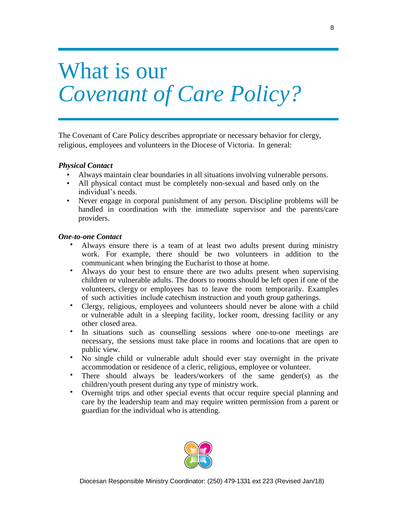### What is our *Covenant of Care Policy?*

The Covenant of Care Policy describes appropriate or necessary behavior for clergy, religious, employees and volunteers in the Diocese of Victoria. In general:

#### *Physical Contact*

- Always maintain clear boundaries in all situations involving vulnerable persons.
- All physical contact must be completely non-sexual and based only on the individual's needs.
- Never engage in corporal punishment of any person. Discipline problems will be handled in coordination with the immediate supervisor and the parents/care providers.

#### *One-to-one Contact*

- Always ensure there is a team of at least two adults present during ministry work. For example, there should be two volunteers in addition to the communicant when bringing the Eucharist to those at home.
- Always do your best to ensure there are two adults present when supervising children or vulnerable adults. The doors to rooms should be left open if one of the volunteers, clergy or employees has to leave the room temporarily. Examples of such activities include catechism instruction and youth group gatherings.
- Clergy, religious, employees and volunteers should never be alone with a child or vulnerable adult in a sleeping facility, locker room, dressing facility or any other closed area.
- In situations such as counselling sessions where one-to-one meetings are necessary, the sessions must take place in rooms and locations that are open to public view.
- No single child or vulnerable adult should ever stay overnight in the private accommodation or residence of a cleric, religious, employee or volunteer.
- There should always be leaders/workers of the same gender(s) as the children/youth present during any type of ministry work.
- Overnight trips and other special events that occur require special planning and care by the leadership team and may require written permission from a parent or guardian for the individual who is attending.